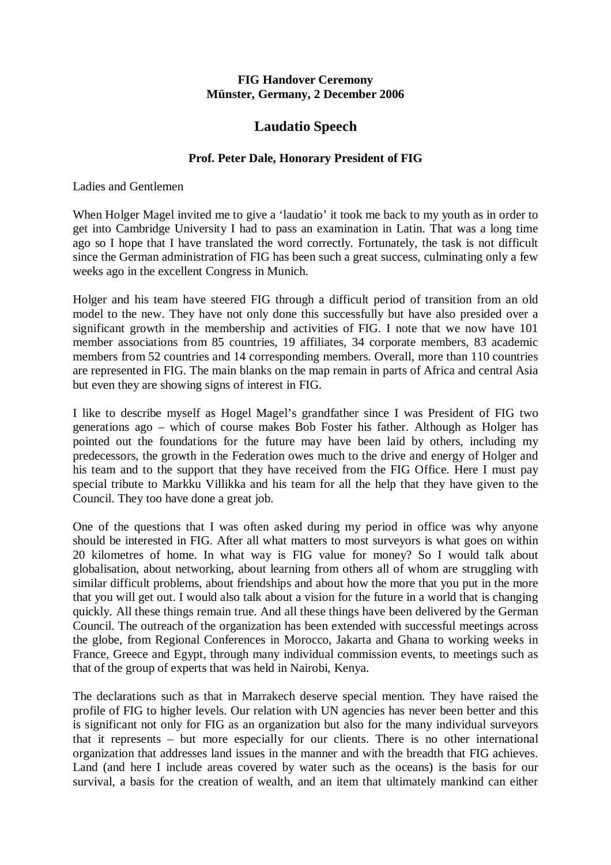## **FIG Handover Ceremony Münster, Germany, 2 December 2006**

## **Laudatio Speech**

## **Prof. Peter Dale, Honorary President of FIG**

Ladies and Gentlemen

When Holger Magel invited me to give a 'laudatio' it took me back to my youth as in order to get into Cambridge University I had to pass an examination in Latin. That was a long time ago so I hope that I have translated the word correctly. Fortunately, the task is not difficult since the German administration of FIG has been such a great success, culminating only a few weeks ago in the excellent Congress in Munich.

Holger and his team have steered FIG through a difficult period of transition from an old model to the new. They have not only done this successfully but have also presided over a significant growth in the membership and activities of FIG. I note that we now have 101 member associations from 85 countries, 19 affiliates, 34 corporate members, 83 academic members from 52 countries and 14 corresponding members. Overall, more than 110 countries are represented in FIG. The main blanks on the map remain in parts of Africa and central Asia but even they are showing signs of interest in FIG.

I like to describe myself as Hogel Magel's grandfather since I was President of FIG two generations ago – which of course makes Bob Foster his father. Although as Holger has pointed out the foundations for the future may have been laid by others, including my predecessors, the growth in the Federation owes much to the drive and energy of Holger and his team and to the support that they have received from the FIG Office. Here I must pay special tribute to Markku Villikka and his team for all the help that they have given to the Council. They too have done a great job.

One of the questions that I was often asked during my period in office was why anyone should be interested in FIG. After all what matters to most surveyors is what goes on within 20 kilometres of home. In what way is FIG value for money? So I would talk about globalisation, about networking, about learning from others all of whom are struggling with similar difficult problems, about friendships and about how the more that you put in the more that you will get out. I would also talk about a vision for the future in a world that is changing quickly. All these things remain true. And all these things have been delivered by the German Council. The outreach of the organization has been extended with successful meetings across the globe, from Regional Conferences in Morocco, Jakarta and Ghana to working weeks in France, Greece and Egypt, through many individual commission events, to meetings such as that of the group of experts that was held in Nairobi, Kenya.

The declarations such as that in Marrakech deserve special mention. They have raised the profile of FIG to higher levels. Our relation with UN agencies has never been better and this is significant not only for FIG as an organization but also for the many individual surveyors that it represents – but more especially for our clients. There is no other international organization that addresses land issues in the manner and with the breadth that FIG achieves. Land (and here I include areas covered by water such as the oceans) is the basis for our survival, a basis for the creation of wealth, and an item that ultimately mankind can either